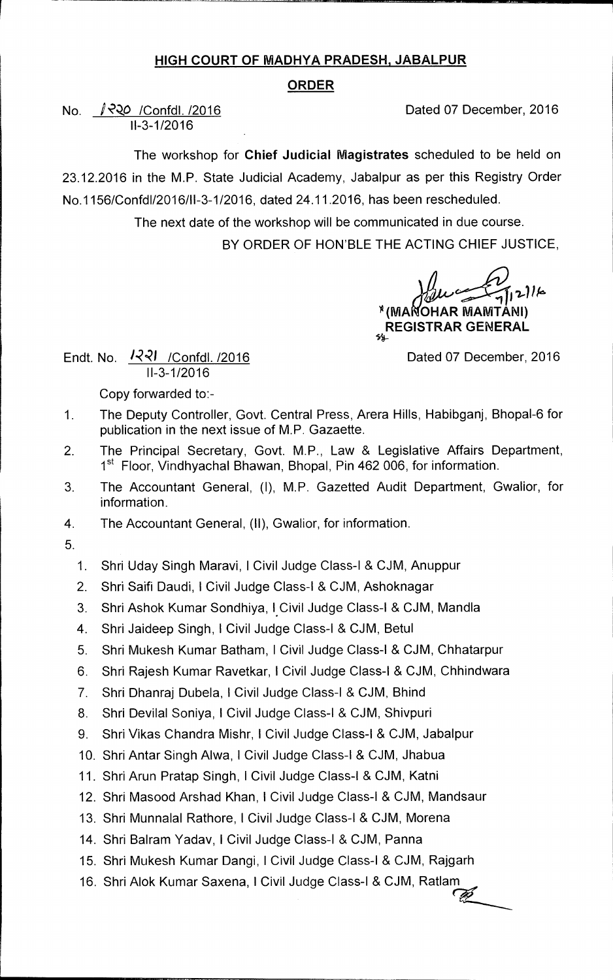## **HIGH COURT OF MADHYA PRADESH, JABALPUR**

## **ORDER**

No.  $\sqrt{2Q}$  /Confdl. /2016 **Dated 07 December, 2016** 11-3-1/2016

The workshop for **Chief Judicial Magistrates** scheduled to be held on 23.12.2016 in the M.P. State Judicial Academy, Jabalpur as per this Registry Order No.1156/Confd1/2016/11-3-1/2016, dated 24.11.2016, has been rescheduled.

> The next date of the workshop will be communicated in due course. BY ORDER OF HON'BLE THE ACTING CHIEF JUSTICE,

> > **144-**

 $216$ **)1 (MA OHAR MAMTANI) REGISTRAR GENERAL** 

Endt. No.  $\frac{1221}{100}$  /Confdl. /2016 11-3-1/2016

Copy forwarded to:-

- 1. The Deputy Controller, Govt. Central Press, Arera Hills, Habibganj, Bhopal-6 for publication in the next issue of M.P. Gazaette.
- 2. The Principal Secretary, Govt. M.P., Law & Legislative Affairs Department, 1<sup>st</sup> Floor, Vindhyachal Bhawan, Bhopal, Pin 462 006, for information.
- 3. The Accountant General, (I), M.P. Gazetted Audit Department, Gwalior, for information.
- 4. The Accountant General, (II), Gwalior, for information.
- 5.
	- 1. Shri Uday Singh Maravi, !Civil Judge Class-I & CJM, Anuppur
	- 2. Shri Saifi Daudi, 1 Civil Judge Class-I & CJM, Ashoknagar
	- 3. Shri Ashok Kumar Sondhiya, I.Civil Judge Class-I & CJM, Mandla
	- 4. Shri Jaideep Singh, !Civil Judge Class-I & CJM, Betul
	- 5. Shri Mukesh Kumar Batham, I Civil Judge Class-I & CJM, Chhatarpur
	- 6. Shri Rajesh Kumar Ravetkar, 1 Civil Judge Class-I & CJM, Chhindwara
	- 7. Shri Dhanraj Dubela, 1 Civil Judge Class-I & CJM, Bhind
	- 8. Shri Devilal Soniya, 1 Civil Judge Class-I & CJM, Shivpuri
	- 9. Shri Vikas Chandra Mishr, I Civil Judge Class-I & CJM, Jabalpur
	- 10. Shri Antar Singh Alwa, I Civil Judge Class-I & CJM, Jhabua
	- 11. Shri Arun Pratap Singh, I Civil Judge Class-1 & CJM, Katni
	- 12. Shri Masood Arshad Khan, 1 Civil Judge Class-I & CJM, Mandsaur
	- 13. Shri Munnalal Rathore, 1 Civil Judge Class-I & CJM, Morena
	- 14. Shri Balram Yadav, I Civil Judge Class-I & CJM, Panna
	- 15. Shri Mukesh Kumar Dangi, 1 Civil Judge Class-I & CJM, Rajgarh
	- 16. Shri Alok Kumar Saxena, I Civil Judge Class-I & CJM, Ratlam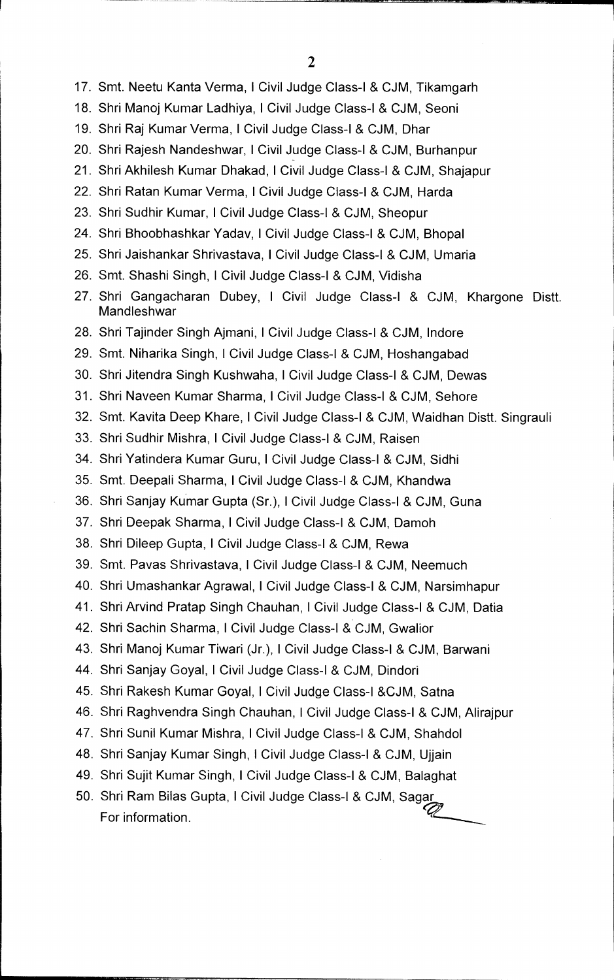- 17. Smt. Neetu Kanta Verma, I Civil Judge Class-I & CJM, Tikamgarh
- 18. Shri Manoj Kumar Ladhiya, I Civil Judge Class-I & CJM, Seoni
- 19. Shri Raj Kumar Verma, I Civil Judge Class-I & CJM, Dhar
- 20. Shri Rajesh Nandeshwar, I Civil Judge Class-I & CJM, Burhanpur
- 21. Shri Akhilesh Kumar Dhakad, I Civil Judge Class-I & CJM, Shajapur
- 22. Shri Ratan Kumar Verma, I Civil Judge Class-I & CJM, Harda
- 23. Shri Sudhir Kumar, I Civil Judge Class-I & CJM, Sheopur
- 24. Shri Bhoobhashkar Yadav, I Civil Judge Class-I & CJM, Bhopal
- 25. Shri Jaishankar Shrivastava, I Civil Judge Class-I & CJM, Umaria
- 26. Smt. Shashi Singh, I Civil Judge Class-I & CJM, Vidisha
- 27. Shri Gangacharan Dubey, I Civil Judge Class-I & CJM, Khargone Distt. Mandleshwar
- 28. Shri Tajinder Singh Ajmani, I Civil Judge Class-I & CJM, Indore
- 29. Smt. Niharika Singh, I Civil Judge Class-I & CJM, Hoshangabad
- 30. Shri Jitendra Singh Kushwaha, I Civil Judge Class-I & CJM, Dewas
- 31. Shri Naveen Kumar Sharma, I Civil Judge Class-I & CJM, Sehore
- 32. Smt. Kavita Deep Khare, I Civil Judge Class-I & CJM, Waidhan Distt. Singrauli
- 33. Shri Sudhir Mishra, I Civil Judge Class-I & CJM, Raisen
- 34. Shri Yatindera Kumar Guru, I Civil Judge Class-I & CJM, Sidhi
- 35. Smt. Deepali Sharma, I Civil Judge Class-I & CJM, Khandwa
- 36. Shri Sanjay Kumar Gupta (Sr.), I Civil Judge Class-I & CJM, Guna
- 37. Shri Deepak Sharma, I Civil Judge Class-I & CJM, Damoh
- 38. Shri Dileep Gupta, I Civil Judge Class-I & CJM, Rewa
- 39. Smt. Pavas Shrivastava, I Civil Judge Class-I & CJM, Neemuch
- 40. Shri Umashankar Agrawal, I Civil Judge Class-I & CJM, Narsimhapur
- 41. Shri Arvind Pratap Singh Chauhan, I Civil Judge Class-I & CJM, Datia
- 42. Shri Sachin Sharma, I Civil Judge Class-I & CJM, Gwalior
- 43. Shri Manoj Kumar Tiwari (Jr.), I Civil Judge Class-I & CJM, Barwani
- 44. Shri Sanjay Goyal, I Civil Judge Class-I & CJM, Dindori
- 45. Shri Rakesh Kumar Goyal, I Civil Judge Class-I &CJM, Satna
- 46. Shri Raghvendra Singh Chauhan, I Civil Judge Class-I & CJM, Alirajpur
- 47. Shri Sunil Kumar Mishra, I Civil Judge Class-I & CJM, Shahdol
- 48. Shri Sanjay Kumar Singh, I Civil Judge Class-I & CJM, Ujjain
- 49. Shri Sujit Kumar Singh, I Civil Judge Class-I & CJM, Balaghat
- 50. Shri Ram Bilas Gupta, I Civil Judge Class-I & CJM, Sagar For information.